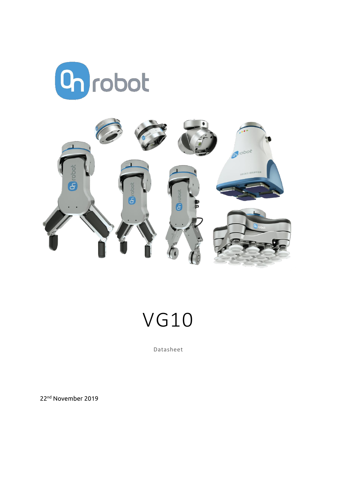



# VG10

Datasheet

22nd November 2019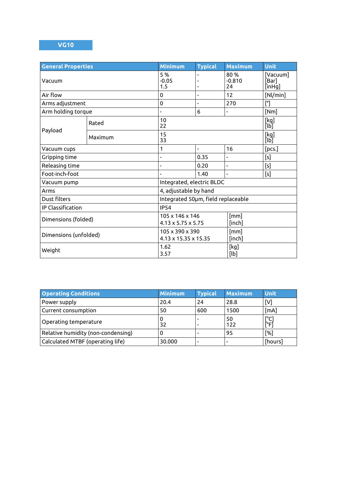### **VG10**

| <b>General Properties</b> |         | <b>Minimum</b>                                                      | <b>Typical</b>           | <b>Maximum</b>               | Unit                           |  |
|---------------------------|---------|---------------------------------------------------------------------|--------------------------|------------------------------|--------------------------------|--|
| Vacuum                    |         | 5 %<br>$-0.05$<br>1.5                                               |                          | 80%<br>$-0.810$<br>24        | [Vacuum]<br>[Bar]<br>$[$ inHg] |  |
| Air flow                  |         | $\mathbf 0$                                                         | ÷,                       | 12                           | [Nl/min]                       |  |
| Arms adjustment           |         | $\mathbf 0$                                                         |                          | 270                          | $[^{\circ}]$                   |  |
| Arm holding torque        |         |                                                                     | 6                        | $\overline{\phantom{0}}$     | [Nm]                           |  |
| Payload                   | Rated   | 10<br>22                                                            |                          |                              | [kg]<br>$[\mathsf{lb}]$        |  |
|                           | Maximum | 15<br>33                                                            |                          |                              | [kg]<br>[lb]                   |  |
| Vacuum cups               |         | 1                                                                   | $\overline{\phantom{a}}$ | 16                           | [pcs.]                         |  |
| Gripping time             |         |                                                                     | 0.35                     | $\qquad \qquad \blacksquare$ | [s]                            |  |
| Releasing time            |         |                                                                     | 0.20                     | $\overline{a}$               | [s]                            |  |
| Foot-inch-foot            |         |                                                                     | 1.40                     |                              | [s]                            |  |
| Vacuum pump               |         | Integrated, electric BLDC                                           |                          |                              |                                |  |
| Arms                      |         | 4, adjustable by hand                                               |                          |                              |                                |  |
| Dust filters              |         | Integrated 50pm, field replaceable                                  |                          |                              |                                |  |
| IP Classification         |         | <b>IP54</b>                                                         |                          |                              |                                |  |
| Dimensions (folded)       |         | [mm]<br>105 x 146 x 146<br>$4.13 \times 5.75 \times 5.75$<br>[inch] |                          |                              |                                |  |
| Dimensions (unfolded)     |         | [mm]<br>105 x 390 x 390<br>4.13 x 15.35 x 15.35<br>[inch]           |                          |                              |                                |  |
| Weight                    |         | 1.62<br>3.57                                                        |                          | [kg]<br>[lb]                 |                                |  |

| <b>Operating Conditions</b>        | <b>Minimum</b> | <b>Typical</b> | <b>Maximum</b>           | <b>Unit</b>         |
|------------------------------------|----------------|----------------|--------------------------|---------------------|
| Power supply                       | 20.4           | 24             | 28.8                     | [V]                 |
| Current consumption                | 50             | 600            | 1500                     | [mA]                |
| Operating temperature              | 32             |                | 50<br>122                | $\lceil$ °C<br>†°Fi |
| Relative humidity (non-condensing) |                |                | 95                       | [%]                 |
| Calculated MTBF (operating life)   | 30.000         |                | $\overline{\phantom{0}}$ | [hours]             |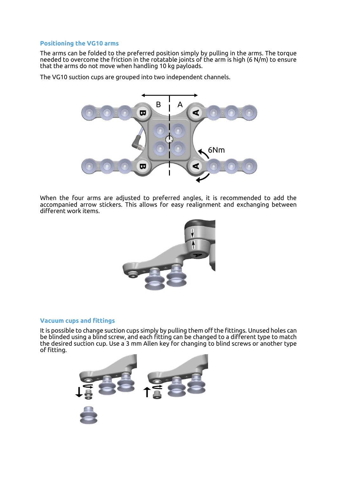#### **Positioning the VG10 arms**

The arms can be folded to the preferred position simply by pulling in the arms. The torque needed to overcome the friction in the rotatable joints of the arm is high (6 N/m) to ensure that the arms do not move when handling 10 kg payloads.

The VG10 suction cups are grouped into two independent channels.



When the four arms are adjusted to preferred angles, it is recommended to add the accompanied arrow stickers. This allows for easy realignment and exchanging between different work items.



#### **Vacuum cups and fittings**

It is possible to change suction cups simply by pulling them off the fittings. Unused holes can be blinded using a blind screw, and each fitting can be changed to a different type to match the desired suction cup. Use a 3 mm Allen key for changing to blind screws or another type of fitting.

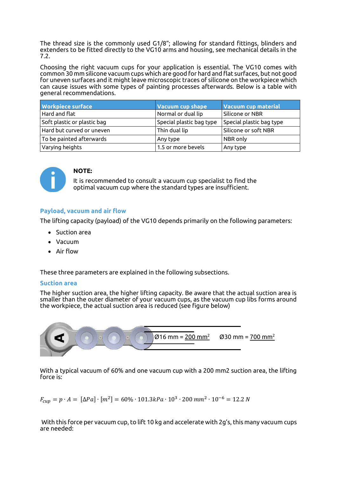The thread size is the commonly used G1/8"; allowing for standard fittings, blinders and extenders to be fitted directly to the VG10 arms and housing, see mechanical details in the 7.2.

Choosing the right vacuum cups for your application is essential. The VG10 comes with common 30 mm silicone vacuum cups which are good for hard and flat surfaces, but not good for uneven surfaces and it might leave microscopic traces of silicone on the workpiece which can cause issues with some types of painting processes afterwards. Below is a table with general recommendations.

| <b>Workpiece surface</b>    | <b>Vacuum cup shape</b>  | <b>Vacuum cup material</b> |  |
|-----------------------------|--------------------------|----------------------------|--|
| Hard and flat               | Normal or dual lip       | Silicone or NBR            |  |
| Soft plastic or plastic bag | Special plastic bag type | Special plastic bag type   |  |
| Hard but curved or uneven   | Thin dual lip            | Silicone or soft NBR       |  |
| To be painted afterwards    | Any type                 | NBR only                   |  |
| Varying heights             | 1.5 or more bevels       | Any type                   |  |



#### **NOTE:**

It is recommended to consult a vacuum cup specialist to find the optimal vacuum cup where the standard types are insufficient.

#### **Payload, vacuum and air flow**

The lifting capacity (payload) of the VG10 depends primarily on the following parameters:

- Suction area
- Vacuum
- Air flow

These three parameters are explained in the following subsections.

#### **Suction area**

The higher suction area, the higher lifting capacity. Be aware that the actual suction area is smaller than the outer diameter of your vacuum cups, as the vacuum cup libs forms around the workpiece, the actual suction area is reduced (see figure below)



With a typical vacuum of 60% and one vacuum cup with a 200 mm2 suction area, the lifting force is:

$$
F_{cup} = p \cdot A = [\Delta Pa] \cdot [m^2] = 60\% \cdot 101.3\,kPa \cdot 10^3 \cdot 200 \,mm^2 \cdot 10^{-6} = 12.2 \,N
$$

With this force per vacuum cup, to lift 10 kg and accelerate with 2g's, this many vacuum cups are needed: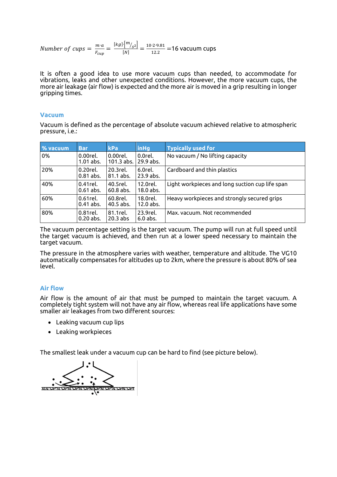Number of cups = 
$$
\frac{m \cdot a}{F_{cup}} = \frac{[kg] \cdot [m_{s^2}]}{[N]} = \frac{10 \cdot 2 \cdot 9.81}{12.2} = 16
$$
 vacuum cups

It is often a good idea to use more vacuum cups than needed, to accommodate for vibrations, leaks and other unexpected conditions. However, the more vacuum cups, the more air leakage (air flow) is expected and the more air is moved in a grip resulting in longer gripping times.

#### **Vacuum**

Vacuum is defined as the percentage of absolute vacuum achieved relative to atmospheric pressure, i.e.:

| % vacuum | <b>Bar</b>                 | kPa                                            | <b>inHg</b>             | <b>Typically used for</b>                       |
|----------|----------------------------|------------------------------------------------|-------------------------|-------------------------------------------------|
| 0%       | $0.00$ rel.<br>$1.01$ abs. | 0.00 <sub>re</sub> l.<br>101.3 abs. 129.9 abs. | 0.0 <sub>re</sub> l.    | No vacuum / No lifting capacity                 |
| 20%      | $0.20$ rel.<br>$0.81$ abs. | 20.3rel.<br>81.1 abs.                          | 6.0rel.<br>23.9 abs.    | Cardboard and thin plastics                     |
| 40%      | $0.41$ rel.<br>$0.61$ abs. | 40.5rel.<br>$60.8$ abs.                        | 12.0rel.<br>$18.0$ abs. | Light workpieces and long suction cup life span |
| 60%      | $0.61$ rel.<br>$0.41$ abs. | 60.8 <sub>re</sub> l.<br>$40.5$ abs.           | 18.0rel.<br>12.0 abs.   | Heavy workpieces and strongly secured grips     |
| 80%      | $0.81$ rel.<br>$0.20$ abs. | 81.1 <sub>rel</sub><br>$20.3$ abs              | 23.9rel.<br>$6.0$ abs.  | Max. vacuum. Not recommended                    |

The vacuum percentage setting is the target vacuum. The pump will run at full speed until the target vacuum is achieved, and then run at a lower speed necessary to maintain the target vacuum.

The pressure in the atmosphere varies with weather, temperature and altitude. The VG10 automatically compensates for altitudes up to 2km, where the pressure is about 80% of sea level.

#### **Air flow**

Air flow is the amount of air that must be pumped to maintain the target vacuum. A completely tight system will not have any air flow, whereas real life applications have some smaller air leakages from two different sources:

- Leaking vacuum cup lips
- Leaking workpieces

The smallest leak under a vacuum cup can be hard to find (see picture below).

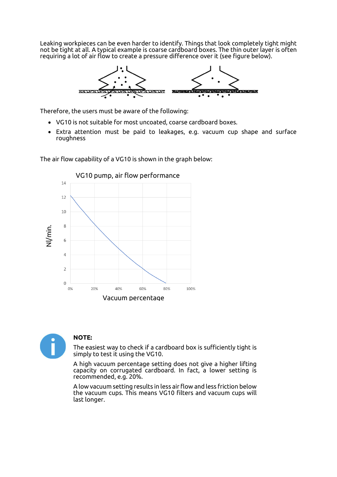Leaking workpieces can be even harder to identify. Things that look completely tight might not be tight at all. A typical example is coarse cardboard boxes. The thin outer layer is often requiring a lot of air flow to create a pressure difference over it (see figure below).



Therefore, the users must be aware of the following:

- VG10 is not suitable for most uncoated, coarse cardboard boxes.
- Extra attention must be paid to leakages, e.g. vacuum cup shape and surface roughness

The air flow capability of a VG10 is shown in the graph below:





#### **NOTE:**

The easiest way to check if a cardboard box is sufficiently tight is simply to test it using the VG10.

A high vacuum percentage setting does not give a higher lifting capacity on corrugated cardboard. In fact, a lower setting is recommended, e.g. 20%.

A low vacuum setting results in less air flow and less friction below the vacuum cups. This means VG10 filters and vacuum cups will last longer.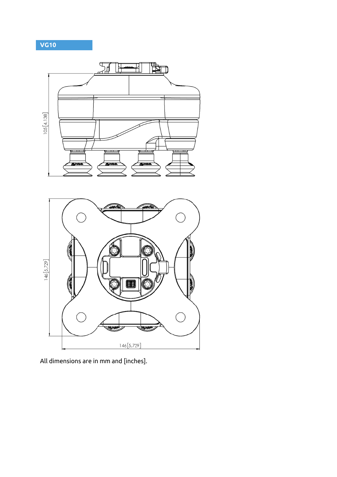## **VG10**



All dimensions are in mm and [inches].

**Syrot** 

 $146[5,729]$